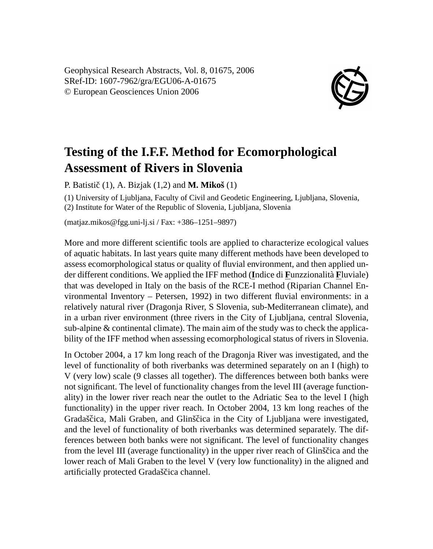Geophysical Research Abstracts, Vol. 8, 01675, 2006 SRef-ID: 1607-7962/gra/EGU06-A-01675 © European Geosciences Union 2006



## **Testing of the I.F.F. Method for Ecomorphological Assessment of Rivers in Slovenia**

P. Batistič  $(1)$ , A. Bizjak  $(1,2)$  and **M. Mikoš**  $(1)$ 

(1) University of Ljubljana, Faculty of Civil and Geodetic Engineering, Ljubljana, Slovenia, (2) Institute for Water of the Republic of Slovenia, Ljubljana, Slovenia

(matjaz.mikos@fgg.uni-lj.si / Fax: +386–1251–9897)

More and more different scientific tools are applied to characterize ecological values of aquatic habitats. In last years quite many different methods have been developed to assess ecomorphological status or quality of fluvial environment, and then applied under different conditions. We applied the IFF method (**I**ndice di **F**unzzionalità **F**luviale) that was developed in Italy on the basis of the RCE-I method (Riparian Channel Environmental Inventory – Petersen, 1992) in two different fluvial environments: in a relatively natural river (Dragonja River, S Slovenia, sub-Mediterranean climate), and in a urban river environment (three rivers in the City of Ljubljana, central Slovenia, sub-alpine & continental climate). The main aim of the study was to check the applicability of the IFF method when assessing ecomorphological status of rivers in Slovenia.

In October 2004, a 17 km long reach of the Dragonja River was investigated, and the level of functionality of both riverbanks was determined separately on an I (high) to V (very low) scale (9 classes all together). The differences between both banks were not significant. The level of functionality changes from the level III (average functionality) in the lower river reach near the outlet to the Adriatic Sea to the level I (high functionality) in the upper river reach. In October 2004, 13 km long reaches of the Gradaščica, Mali Graben, and Glinščica in the City of Ljubljana were investigated, and the level of functionality of both riverbanks was determined separately. The differences between both banks were not significant. The level of functionality changes from the level III (average functionality) in the upper river reach of Glinščica and the lower reach of Mali Graben to the level V (very low functionality) in the aligned and artificially protected Gradaščica channel.